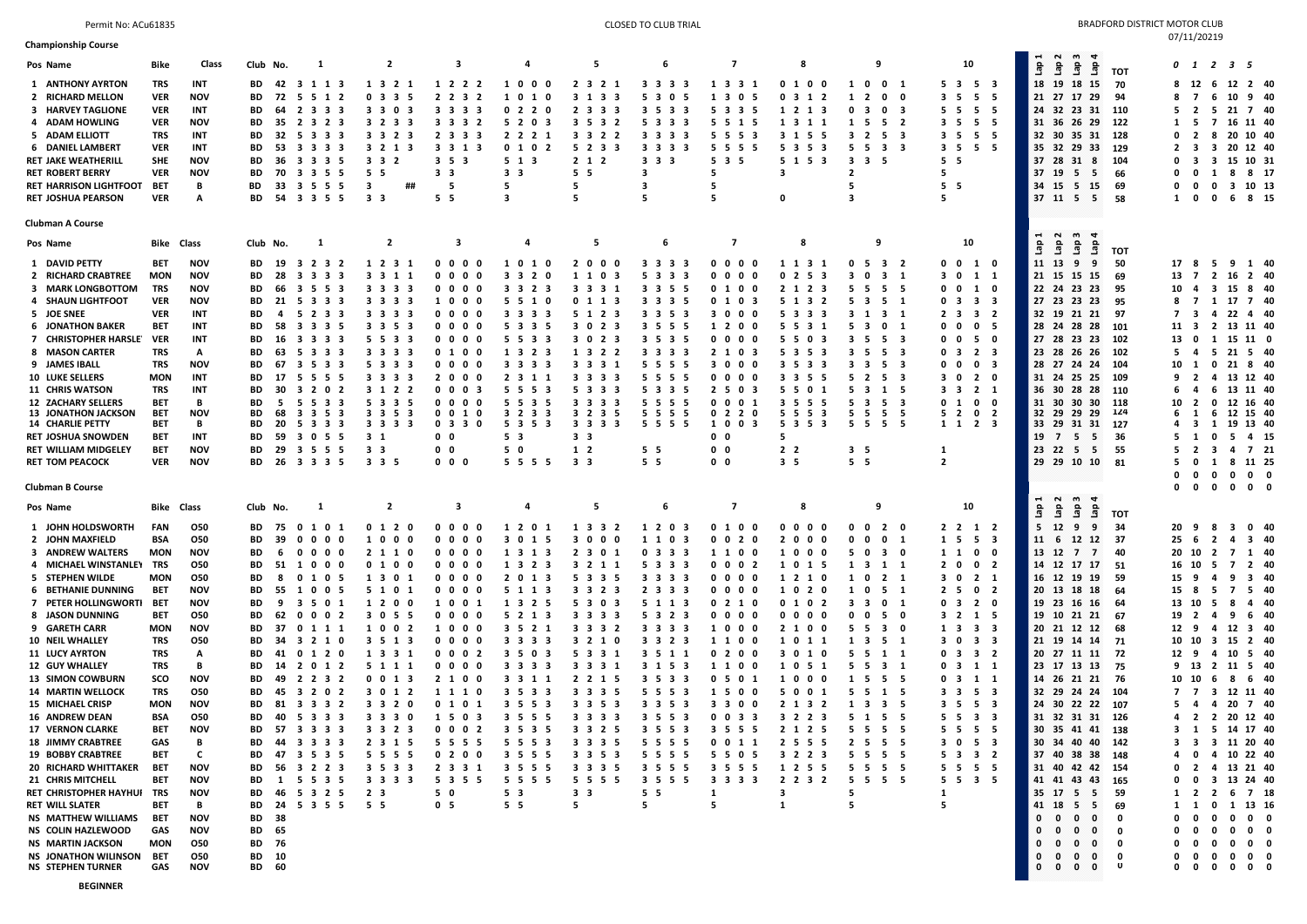## Permit No: ACu61835 Permit Noted that the second of the second of the second of the second of the second of the second of the second of the second of the second of the second of the second of the second of the second of th  $07/11/20219$

| <b>Championship Course</b>                            |                   |                          |                                                                                      |                                   |                                                                   |                                                         |                                                |                       |                                            |                                        |                                                                              |                                                                                               |                                                                                                       | 011120213                                                                                                  |
|-------------------------------------------------------|-------------------|--------------------------|--------------------------------------------------------------------------------------|-----------------------------------|-------------------------------------------------------------------|---------------------------------------------------------|------------------------------------------------|-----------------------|--------------------------------------------|----------------------------------------|------------------------------------------------------------------------------|-----------------------------------------------------------------------------------------------|-------------------------------------------------------------------------------------------------------|------------------------------------------------------------------------------------------------------------|
| Pos Name                                              | Bike              | Class                    | Club No.<br>1                                                                        | $\overline{2}$                    | 3                                                                 | 4                                                       | 5                                              | 6                     | 7                                          | 8                                      | 9                                                                            | 10                                                                                            | $\mathbf{m}$<br>്പ<br>$\blacksquare$<br>ិ<br>ិ<br>ទិ<br>ទិ                                            | 0 1 2 3 5                                                                                                  |
| 1 ANTHONY AYRTON                                      | TRS               | <b>INT</b>               | BD.<br>42 3 1 1 3                                                                    | 1 3 2 1                           | 1 2 2 2                                                           | 1000                                                    | 2 3 2 1                                        | 3 3 3 3               | 1 3 3 1                                    | 0100                                   | 10<br>$0\quad1$                                                              | $5 \t3 \t5 \t3$                                                                               | тот<br>18 19 18<br>15<br>- 70                                                                         | 6 12 2 40<br>12                                                                                            |
| 2 RICHARD MELLON                                      | <b>VER</b>        | <b>NOV</b>               | ВD<br>72 5 5 1 2                                                                     | $0$ 3 3 5                         | 2 2 3 2                                                           | 101<br>$\mathbf 0$                                      | 3 1 3 3                                        | 5 3 0 5               | 1 3 0<br>- 5                               | 0312                                   | $\overline{2}$<br>$\mathbf 0$<br>1<br>$\mathbf 0$                            | 3 5 5 5                                                                                       | 21 27 17 29<br>94                                                                                     | 10 9 40<br>$\overline{7}$<br>6<br>8                                                                        |
| 3 HARVEY TAGLIONE                                     | <b>VER</b>        | <b>INT</b>               | BD<br>64<br>2 3 3 3                                                                  | 33<br>$\mathbf 0$<br>-3           | 3 <sub>3</sub><br>3 <sub>3</sub>                                  | 0 2 2 0                                                 | 2 3 3 3                                        | 3 5 3 3               | 5 3 3 5                                    | 1 2 1 3                                | $\mathbf 0$<br>3<br>$\mathbf{0}$<br>- 3                                      | 5 5<br>55                                                                                     | 24 32 23 31 110                                                                                       | 5 <sub>2</sub><br>5 21 7 40                                                                                |
| 4 ADAM HOWLING                                        | <b>VER</b>        | <b>NOV</b>               | ВD<br>35<br>2323                                                                     | 3 2 3 3                           | 3 3 3 2                                                           | 5 2 0 3                                                 | 3 5 3 2                                        | 5 3 3 3               | 5 5 1 5                                    | 1 3 1 1                                | 1<br>- 5<br>5                                                                | 3 <sub>5</sub><br>5 5                                                                         | 31 36 26 29 122                                                                                       | $\overline{7}$<br>16 11 40<br>5<br>1                                                                       |
| 5 ADAM ELLIOTT                                        | TRS               | INT                      | BD<br>32<br>5333                                                                     | 3 3 2 3                           | 2 3 3 3                                                           | 2 2 2 1                                                 | 3 3 2 2                                        | 3 3 3 3               | 5 5 5 3                                    | 3 1 5 5                                | 2 5 3<br>3                                                                   | 3 5 5 5                                                                                       | 32 30 35 31<br>128                                                                                    | 0 <sub>2</sub><br>8 20 10 40                                                                               |
| 6 DANIEL LAMBERT                                      | VER               | INT                      | ВD<br>53<br>3 3 3 3                                                                  | 3 2 1 3                           | 3 3 1 3                                                           | 0 1 0 2                                                 | 5 2 3 3                                        | 3 3 3 3               | 5 5 5 5                                    | 5 3 5 3                                | 5<br>- 5<br>3                                                                | $3\quad 5\quad 5\quad 5$                                                                      | 35 32 29 33<br>129                                                                                    | $\overline{\mathbf{3}}$<br>3<br>20 12 40<br>2                                                              |
| <b>RET JAKE WEATHERILL</b><br><b>RET ROBERT BERRY</b> | SHE<br><b>VER</b> | <b>NOV</b><br><b>NOV</b> | ВD<br>36<br>3335<br>70<br>3 3 5 5<br>BD.                                             | 3 <sub>3</sub><br>2<br>55         | 3 <sub>5</sub><br>- 3<br>3 <sub>3</sub>                           | 5 1 3<br>3 <sub>3</sub>                                 | $2 \t1 \t2$<br>5 5                             | 3 3 3<br>3            | 5 3 5<br>5                                 | 5 1 5 3<br>3                           | 3 <sub>3</sub><br>$\overline{2}$                                             | 5 5<br>5                                                                                      | 37 28 31 8<br>104<br>37 19 5 5<br>66                                                                  | 15 10 31<br>- 3<br>3<br>$\mathbf{0}$<br>1<br>8 8 17<br>$\Omega$                                            |
| <b>RET HARRISON LIGHTFOOT</b>                         | <b>BET</b>        | В                        | 33<br>BD<br>3555                                                                     | ##<br>-3                          | -5                                                                | 5                                                       | 5                                              | 3                     | 5                                          |                                        | 5                                                                            | 5 <sub>5</sub>                                                                                | 34 15 5 15<br>69                                                                                      | $\mathbf 0$<br>3 10 13<br>$\mathbf 0$<br>0                                                                 |
| <b>RET JOSHUA PEARSON</b>                             | <b>VER</b>        | Α                        | 54 3 3 5 5<br>BD.                                                                    | 3 <sub>3</sub>                    | 55                                                                | 3                                                       | 5                                              | -5                    | 5                                          | 0                                      | 3                                                                            | 5                                                                                             | 37 11 5 5<br>-58                                                                                      | $\mathbf 0$<br>6 8 15<br>$\mathbf{0}$<br>1                                                                 |
|                                                       |                   |                          |                                                                                      |                                   |                                                                   |                                                         |                                                |                       |                                            |                                        |                                                                              |                                                                                               |                                                                                                       |                                                                                                            |
| <b>Clubman A Course</b>                               |                   |                          |                                                                                      |                                   |                                                                   |                                                         |                                                |                       |                                            |                                        |                                                                              |                                                                                               | m<br>$ \sim$<br>$\blacktriangleleft$                                                                  |                                                                                                            |
| Pos Name                                              | <b>Bike Class</b> |                          | 1<br>Club No.                                                                        | $\overline{2}$                    | 3                                                                 | 4                                                       | -5                                             | 6                     | $\overline{ }$                             | 8                                      | 9                                                                            | 10                                                                                            | ae<br>L<br>å<br>å<br>۹e<br>тот                                                                        |                                                                                                            |
| 1 DAVID PETTY                                         | BET               | <b>NOV</b>               | BD<br>19 3 2 3 2                                                                     | 1 2 3 1                           | $0\ 0\ 0\ 0$                                                      | 1010                                                    | 2000                                           | 3 3 3 3               | $0\ 0\ 0\ 0$                               | 1 1 3 1                                | $\mathbf 0$<br>5 3 2                                                         | 0010                                                                                          | 11 13 9<br>9<br>-50                                                                                   | 17 8<br>5 9 1 40                                                                                           |
| 2 RICHARD CRABTREE                                    | <b>MON</b>        | <b>NOV</b>               | - 28<br>3 3 3 3<br>BD.                                                               | 3 3 1 1                           | $\mathbf 0$<br>0 <sub>0</sub><br>$\mathbf{0}$                     | 3 3 2 0                                                 | 1 1 0 3                                        | 5 3 3 3               | $0\quad 0\quad 0\quad$<br>$\mathbf 0$      | 0253                                   | 3<br>$\mathbf{0}$<br>$3 \quad 1$                                             | 3 0 1 1                                                                                       | 21 15 15 15<br>69                                                                                     | 13 7<br>2 16 2 40                                                                                          |
| 3 MARK LONGBOTTOM                                     | TRS               | <b>NOV</b>               | ВD<br>66<br>3553                                                                     | 3 3 3 3                           | 0<br>0<br>$\mathbf 0$<br>0                                        | 3 3 2 3                                                 | 3 3 3 1                                        | 3 3 5 5               | 0100                                       | 2 1 2 3                                | 5.<br>5.<br>- 5                                                              | 0<br>$\mathbf{0}$<br>10                                                                       | 22 24 23 23<br>95                                                                                     | 15<br>840<br>10<br>4<br>- 3                                                                                |
| 4 SHAUN LIGHTFOOT                                     | <b>VER</b>        | <b>NOV</b>               | 21 5 3 3 3<br>ВD                                                                     | 33<br>3 <sub>3</sub>              | $\mathbf 0$<br>1<br>$\mathbf{0}$<br>0                             | 5<br>51<br>0                                            | 0 1 1 3                                        | 3 3 3 5               | 0 1 0 3                                    | 5 1 3 2                                | 5.<br>$\mathbf{3}$<br>- 5                                                    | 0 <sub>3</sub><br>3 <sub>3</sub>                                                              | 27 23 23 23<br>95                                                                                     | 8 7<br>1 17 7 40                                                                                           |
| 5 JOE SNEE<br><b>6 JONATHON BAKER</b>                 | <b>VER</b><br>BET | INT<br>INT               | BD<br>4<br>5233<br>BD<br>58<br>3 3 3 5                                               | 33<br>3 <sub>3</sub><br>33<br>53  | 0<br>$\mathbf{0}$<br>0<br>0<br>$\mathbf{0}$<br>$0\quad0$<br>0     | 3 <sub>3</sub><br>3<br>-3<br>5 3<br>$\mathbf{3}$<br>- 5 | 5 1 2 3<br>3<br>2 <sub>3</sub><br>$\mathbf{0}$ | 3 3 5 3<br>3 5 5 5    | 300<br>$\mathbf 0$<br>1 2 0<br>$\mathbf 0$ | 5 3 3 3<br>553<br>- 1                  | 3<br>1<br>3 1<br>5<br>$\overline{\mathbf{3}}$<br>$\mathbf 0$                 | 2 <sub>3</sub><br>3 <sub>2</sub><br>0 <sub>5</sub><br>0<br>$\mathbf{0}$                       | 32 19 21 21<br>- 97<br>28 24 28 28<br>101                                                             | 22 4 40<br>7 3<br>4<br>2 13 11 40<br>11 3                                                                  |
| 7 CHRISTOPHER HARSLE                                  | <b>VER</b>        | INT                      | 16<br>ВD<br>3333                                                                     | 5 5 3 3                           | $0\ 0\ 0\ 0$                                                      | 5 5 3 3                                                 | 3 0 2 3                                        | 3 5 3 5               | $0\quad 0\quad 0\quad$<br>0                | 55<br>0<br>- 3                         | 3<br>5 5 3                                                                   | $0\quad 0$<br>50                                                                              | 27 28 23 23<br>102                                                                                    | 13 0<br>1 15 11 0                                                                                          |
| 8 MASON CARTER                                        | TRS               | A                        | BD<br>63<br>333<br>- 5                                                               | 33<br>33                          | 0 <sub>1</sub><br>$\mathbf{0}$<br>0                               | 1 3<br>23                                               | 1 3 2 2                                        | 3 3 3 3               | 2 1 0 3                                    | 5 3<br>- 5<br>- 3                      | 3<br>- 5<br>- 5<br>- 3                                                       | 0 <sub>3</sub><br>2 <sub>3</sub>                                                              | 23 28 26 26<br>102                                                                                    | 5 21 5 40<br>5 4                                                                                           |
| 9 JAMES IBALL                                         | TRS               | <b>NOV</b>               | 67<br>BD<br>- 3<br>533                                                               | 53<br>3 <sub>3</sub>              | $\mathbf 0$<br>0<br>0<br>0                                        | 3 <sub>3</sub><br>$\overline{\mathbf{3}}$<br>3          | 3 3 3 1                                        | 5 5 5 5               | 300<br>0                                   | 3 <sub>5</sub><br>3<br>- 3             | 3<br>- 3<br>- 5                                                              | 0 <sub>3</sub><br>0<br>0                                                                      | 28 27 24 24<br>104                                                                                    | $\mathbf 0$<br>21 8 40<br>10 1                                                                             |
| <b>10 LUKE SELLERS</b>                                | MON               | INT                      | ВD<br>17<br>5555                                                                     | 3 3 3 3                           | 2000                                                              | 2 3 1 1                                                 | 3 3 3 3                                        | 5 5 5 5               | $0\,0\,0\,0$                               | 3 3 5<br>- 5                           | 5<br>2 5                                                                     | 3 0<br>2 0                                                                                    | 31 24 25 25<br>- 109                                                                                  | $\overline{2}$<br>4 13 12 40<br>9                                                                          |
| 11 CHRIS WATSON                                       | TRS               | INT                      | BD<br>30<br>202<br>3                                                                 | 3 1 2 2                           | 0<br>$\mathbf{0}$<br>$\mathbf 0$<br>- 3                           | 5<br>55<br>3                                            | 5 3 3<br>$\overline{\mathbf{3}}$               | 5 3 3 5               | 2 <sub>5</sub><br>0<br>-3                  | 5 5<br>$\mathbf 0$<br>- 1              | 5.<br>$\overline{\mathbf{3}}$<br>$\mathbf{1}$                                | 3 <sub>3</sub><br>$2 \quad 1$                                                                 | 36 30 28 28<br>110                                                                                    | 6<br>13 11 40<br>6<br>$\overline{\mathbf{4}}$                                                              |
| <b>12 ZACHARY SELLERS</b><br>13 JONATHON JACKSON      | BET<br>BET        | в<br><b>NOV</b>          | 5<br>ВD<br>- 5<br>53<br>BD<br>68<br>3 3 5 3                                          | 53<br>3<br>3 3 5 3                | $0\quad 0$<br>$\mathbf 0$<br>0010                                 | 55<br>-3<br>-5<br>3 2 3 3                               | 3 <sub>3</sub><br>- 3<br>3<br>3 2 3 5          | 5<br>5 5 5<br>5 5 5 5 | $0\quad 0\quad 0\quad$<br>0 2 2 0          | 3 <sub>5</sub><br>-5<br>- 5<br>5 5 5 3 | $\overline{\mathbf{3}}$<br>5.<br>5<br>55<br>- 5                              | $\mathbf 0$<br>$0\quad 1$<br>$\mathbf{0}$<br>5 <sub>2</sub><br>$\mathbf{0}$<br>$\overline{2}$ | 31 30 30 30<br>118<br>32 29 29 29<br>124                                                              | $\overline{2}$<br>$\mathbf 0$<br>12 16 40<br>10<br>6<br>12 15 40<br>6<br>$\mathbf{1}$                      |
| <b>14 CHARLIE PETTY</b>                               | BET               | В                        | BD.<br>20<br>5333                                                                    | 3 3 3 3                           | 0330                                                              | 5 3 5 3                                                 | 3 3 3 3                                        | 5 5 5 5               | 1 0 0 3                                    | 5 3 5 3                                | 5 5 5 5                                                                      | 1 1 2 3                                                                                       | 33 29 31 31 127                                                                                       | 1 19 13 40<br>4 3                                                                                          |
| <b>RET JOSHUA SNOWDEN</b>                             | BET               | INT                      | ВD<br>59<br>3055                                                                     | 3 1                               | $0\quad 0$                                                        | 5 3                                                     | 3 <sub>3</sub>                                 |                       | 0 <sub>0</sub>                             | 5                                      |                                                                              |                                                                                               | 19 7 5 5<br>-36                                                                                       | 5<br>0<br>4 15<br>5<br>$\mathbf{1}$                                                                        |
| <b>RET WILLIAM MIDGELEY</b>                           | BET               | <b>NOV</b>               | 29<br>BD<br>3 5 5 5                                                                  | 33                                | $0\quad 0$                                                        | 5 0                                                     | 1 2                                            | 5 <sub>5</sub>        | $0\quad 0$                                 | 2 <sub>2</sub>                         | 3 5                                                                          | 1                                                                                             | $23$ $22$ $5$ $5$<br>-55                                                                              | 3<br>4 7 21<br>5<br>$\overline{2}$                                                                         |
| <b>RET TOM PEACOCK</b>                                | <b>VER</b>        | <b>NOV</b>               | 26 3 3 3 5<br>BD.                                                                    | 3 3 5                             | $0\quad 0\quad 0$                                                 | 5 5 5 5                                                 | 3 <sub>3</sub>                                 | 55                    | 0 <sub>0</sub>                             | 3 <sub>5</sub>                         | 5 <sub>5</sub>                                                               | $\overline{2}$                                                                                | 29 29 10 10 81                                                                                        | 8 11 25<br>5.<br>$\mathbf 0$<br>1<br>0                                                                     |
| <b>Clubman B Course</b>                               |                   |                          |                                                                                      |                                   |                                                                   |                                                         |                                                |                       |                                            |                                        |                                                                              |                                                                                               |                                                                                                       | 0<br>$\mathbf 0$<br>$\mathbf{0}$<br>$0\quad 0$<br>$0\quad 0\quad 0\quad 0$<br>$\mathbf{0}$<br>$\mathbf{0}$ |
| Pos Name                                              | Bike Class        |                          | Club No.<br>-1                                                                       | $\overline{2}$                    | -3                                                                | 4                                                       | 5                                              | 6                     | $\overline{7}$                             | 8                                      | 9                                                                            | 10                                                                                            | H N<br>m<br>$\overline{\phantom{a}}$                                                                  |                                                                                                            |
|                                                       |                   |                          |                                                                                      |                                   |                                                                   |                                                         |                                                |                       |                                            |                                        |                                                                              |                                                                                               | ត្និ<br>$\frac{a}{2}$<br>ត្និ<br>ទិ<br>тот                                                            |                                                                                                            |
| 1 JOHN HOLDSWORTH<br>2 JOHN MAXFIELD                  | FAN               | 050                      | BD 75 0 1 0 1<br>ВD                                                                  | 0 1 2 0                           | $0\ 0\ 0\ 0$<br>0                                                 | 1 2 0 1                                                 | 1 3 3 2                                        | 1 2 0 3               | 0 1 0<br>0                                 | $0\,0\,0\,0$<br>- 0                    | $\mathbf 0$<br>$0\quad 2\quad 0$<br>$\mathbf{o}$                             | 2 2 1 2                                                                                       | 5<br>12 9<br>9<br>-34                                                                                 | 20 9<br>8 3 0 40<br>25                                                                                     |
| 3 ANDREW WALTERS                                      | BSA<br>MON        | 050<br><b>NOV</b>        | 39<br>$\mathbf 0$<br>$\mathbf{0}$<br>$0\quad 0$<br>ВD<br>6<br>$0\quad 0\quad 0$<br>0 | 10<br>$\mathbf 0$<br>0<br>2 1 1 0 | 0<br>$\mathbf{0}$<br>0<br>0<br>$\mathbf{0}$<br>$\mathbf 0$<br>- 0 | 301<br>-5<br>1 3<br>13                                  | 3<br>$\mathbf{0}$<br>0<br>- 0<br>2 3 0 1       | 1 1 0 3<br>$0$ 3 3 3  | 0 0 2 0<br>1 1 0 0                         | 200<br>100<br>- 0                      | $\mathbf{0}$<br>$\mathbf{0}$<br>$\overline{\mathbf{3}}$<br>5<br>$\mathbf{0}$ | 1 5<br>5 3<br>1 1 0 0                                                                         | 11 6<br>12 12<br>-37<br>$13$ $12$ $7$ $7$<br>40                                                       | 3 40<br>- 6<br>$\overline{2}$<br>-4<br>20 10 2<br>7<br>1 40                                                |
| 4 MICHAEL WINSTANLEY                                  | TRS               | 050                      | 51 1 0 0 0<br>BD.                                                                    | 0100                              | 0 <sub>0</sub><br>0<br>$\mathbf{0}$                               | 1 3 2 3                                                 | 3 2 1 1                                        | 5 3 3 3               | 0 0 0 2                                    | 101<br>- 5                             | 1 3 1 1                                                                      | $2 \quad 0$<br>0 <sub>2</sub>                                                                 | 14 12 17 17<br>- 51                                                                                   | 16 10<br>5<br>$\overline{7}$<br>2 40                                                                       |
| 5 STEPHEN WILDE                                       | <b>MON</b>        | 050                      | ВD<br>8<br>0 1 0 5                                                                   | 1 3 0 1                           | 0<br>$\mathbf{0}$<br>$0\quad 0$                                   | 2 <sub>0</sub><br>1 3                                   | 5 3 3 5                                        | 3 3 3 3               | $0\quad 0\quad 0\quad$<br>$\mathbf 0$      | 1210                                   | 1<br>$\mathbf 0$<br>2 1                                                      | 30<br>$2 \quad 1$                                                                             | 16 12 19 19<br>-59                                                                                    | 3 40<br>15 9<br>4<br>-9                                                                                    |
| 6 BETHANIE DUNNING                                    | <b>BET</b>        | <b>NOV</b>               | 55<br>BD<br>1005                                                                     | 5 1<br>0 <sub>1</sub>             | $0\quad 0\quad 0$<br>0                                            | 5 1 1 3                                                 | 3 3 2 3                                        | 2 3 3 3               | $0\ 0\ 0\ 0$                               | 1020                                   | 5 1<br>$\mathbf{0}$<br>1                                                     | 2 5 0 2                                                                                       | 20 13 18 18<br>64                                                                                     | - 5<br>-7<br>5 40<br>15 8                                                                                  |
| 7 PETER HOLLINGWORTI                                  | BET               | <b>NOV</b>               | ВD<br>9<br>3501                                                                      | 1200                              | 10<br>0 <sub>1</sub>                                              | 1 3<br>25                                               | 5 3 0 3                                        | 5 1 1 3               | 0 2 1 0                                    | 0 1 0<br>$\overline{\mathbf{2}}$       | 3 3 0<br>- 1                                                                 | 0 <sub>3</sub><br>2 0                                                                         | 19 23 16 16<br>64                                                                                     | - 5<br>13 10<br>- 8<br>440                                                                                 |
| 8 JASON DUNNING                                       | BET               | 050                      | BD<br>62<br>0<br>002                                                                 | 3<br>55<br>$\mathbf{0}$           | 0<br>$0\quad 0$<br>$\mathbf{0}$                                   | 5 2 1 3                                                 | 3 3 3 3                                        | 5 3 2 3               | $0\ 0\ 0$<br>0                             | $0\ 0\ 0$<br>- 0                       | $\mathbf 0$<br>$\mathbf 0$<br>50                                             | 3 2 1 5                                                                                       | 19 10 21 21<br>-67                                                                                    | 9<br>6 40<br>19 2<br>4                                                                                     |
| 9 GARETH CARR<br>10 NEIL WHALLEY                      | MON<br>TRS        | <b>NOV</b><br>050        | 37<br>ВD<br>0 1 1 1<br>3 2 1 0<br>BD<br>34                                           | 1002<br>35<br>13                  | 1000<br>$\mathbf{0}$<br>$\mathbf{0}$<br>$\mathbf 0$<br>0          | 3 5 2 1<br>3 3 3<br>-3                                  | 3 3 3 2<br>3 2 1 0                             | 3 3 3 3<br>3 3 2 3    | 1000<br>1 1 0<br>0                         | 2 1 0<br>0<br>10<br>1 1                | 5<br>530<br>1<br>$\overline{\mathbf{3}}$<br>- 5<br>- 1                       | $1 \t3 \t3 \t3$<br>30<br>3 <sub>3</sub>                                                       | 20 21 12 12<br>68<br>21 19 14 14<br>- 71                                                              | 12 9<br>4 12 3 40<br>10 10<br>$3 \quad 15$<br>2 40                                                         |
| 11 LUCY AYRTON                                        | TRS               | A                        | 41 0 1 2 0<br>ВD                                                                     | 1 3<br>31                         | 0 <sub>2</sub><br>$0\quad 0$                                      | 350<br>-3                                               | 5 3 3 1                                        | 3 5 1 1               | 020<br>0                                   | 3<br>0 <sub>1</sub><br>- 0             | - 5<br>5.<br>1 1                                                             | 3 <sub>2</sub><br>0 <sub>3</sub>                                                              | 20 27 11 11 72                                                                                        | 10<br>5 40<br>12 9<br>4                                                                                    |
| <b>12 GUY WHALLEY</b>                                 | TRS               | в                        | BD.<br>14<br>2012                                                                    | 5 1 1 1                           | $0\ 0\ 0\ 0$                                                      | 3 3 3 3                                                 | 3 3 3 1                                        | 3 1 5 3               | 1 1 0 0                                    | 1051                                   | 5 3 1<br>5                                                                   | $0$ 3 1 1                                                                                     | 23 17 13 13 75                                                                                        | 9 13 2 11 5 40                                                                                             |
| 13 SIMON COWBURN                                      | sco               | <b>NOV</b>               | 2 2 3 2<br>ВD<br>49                                                                  | 0 <sub>0</sub><br>1 3             | 2 1<br>$\mathbf 0$<br>0                                           | 3 3 1 1                                                 | 2 2 1 5                                        | 3 5 3 3               | 050<br>-1                                  | 10<br>$\mathbf 0$<br>0                 | 1<br>- 5<br>- 5                                                              | 0 <sub>3</sub><br>1 1                                                                         | 14 26 21 21<br>- 76                                                                                   | 6<br>6 40<br>10 10<br>-8                                                                                   |
| <b>14 MARTIN WELLOCK</b>                              | TRS               | 050                      | 45<br>ВD<br>3202                                                                     | 30<br>1 2                         | 1 1 1 0                                                           | 3 5 3 3                                                 | 3 3 3 5                                        | 5 5 5 3               | 1 5 0 0                                    | 50<br>$\mathbf 0$<br>- 1               | 5.<br>- 5<br>1                                                               | 3 <sub>3</sub><br>5 <sub>3</sub>                                                              | 32 29 24 24 104                                                                                       | 77<br>12 11 40<br>- 3                                                                                      |
| 15 MICHAEL CRISP                                      | MON               | <b>NOV</b>               | 81 3 3 3 2<br>BD                                                                     | 3320                              | 0 1 0 1                                                           | 3 5 5 3                                                 | 3 3 5 3                                        | 3 3 5 3               | 3 3 0<br>$\mathbf 0$                       | 2 1 3 2                                | 1 3 3 5                                                                      | 3 <sub>5</sub><br>5 3                                                                         | 24 30 22 22 107                                                                                       | 4 20 7 40<br>$\overline{4}$<br>5.                                                                          |
| <b>16 ANDREW DEAN</b>                                 | BSA               | 050                      | ВD<br>40 5 3 3 3                                                                     | 3 3 3 0                           | 1 5 0 3                                                           | 3 5 5 5                                                 | 3 3 3 3                                        | 3 5 5 3               | 0 0 3 3                                    | 3 2 2 3                                | 5 1 5 5                                                                      | 5 5 3 3                                                                                       | 31 32 31 31 126                                                                                       | 2 20 12 40<br>4 2                                                                                          |
| <b>17 VERNON CLARKE</b><br><b>18 JIMMY CRABTREE</b>   | BET<br>GAS        | <b>NOV</b><br>в          | BD<br>57 3 3 3 3<br>44 3 3 3 3<br><b>BD</b>                                          | 3 3 2 3<br>2 3 1 5                | $0 \t0 \t0 \t2$<br>5 5 5 5                                        | 3 5 3 5<br>5 5 5 3                                      | 3 3 2 5<br>3 3 3 5                             | 3 5 5 3<br>5 5 5 5    | 3 5 5 5<br>0 0 1 1                         | 2 1 2 5<br>2 5 5 5                     | 5 5 5 5<br>2 5 5 5                                                           | 5555<br>30<br>5 <sub>3</sub>                                                                  | 30 35 41 41 138<br>30 34 40 40 142                                                                    | 3 1 5 14 17 40<br>3 3 3 11 20 40                                                                           |
| 19 BOBBY CRABTREE                                     | BET               | C                        | 47 3 5 3 5<br>ВD                                                                     | 5 5 5 5                           | 0200                                                              | 3 5 5 5                                                 | 3 3 5 3                                        | 5 5 5 5               | 5 5 0 5                                    | 3 2 2 3                                | 5<br>- 5<br>5 5                                                              | 5 <sub>3</sub><br>3 <sub>2</sub>                                                              | 37 40 38 38 148                                                                                       | 4 10 22 40<br>4<br>$\mathbf 0$                                                                             |
| 20 RICHARD WHITTAKER                                  | BET               | <b>NOV</b>               | 56 3 2 2 3<br>BD.                                                                    | 3 5 3 3                           | 2 3 3 1                                                           | 3 5 5 5                                                 | 3 3 3 5                                        | 3 5 5 5               | 3 5 5 5                                    | 1 2 5 5                                | 5 5 5 5                                                                      | $5\ 5\ 5\ 5$                                                                                  | 31 40 42 42 154                                                                                       | 4 13 21 40<br>$\overline{2}$<br>$\mathbf{0}$                                                               |
| 21 CHRIS MITCHELL                                     | BET               | <b>NOV</b>               | 1 5 5 3 5<br><b>BD</b>                                                               | 3 3 3 3                           | 5 3 5 5                                                           | 5 5 5<br>- 5                                            | 5 5 5 5                                        | 3 5 5 5               | 3 3 3 3                                    | 2 2 3 2                                | 5 5 5 5                                                                      | $5\quad 5\quad 3\quad 5$                                                                      | 41 41 43 43 165                                                                                       | $\mathbf{0}$<br>3 13 24 40<br>$\mathbf{0}$                                                                 |
| RET CHRISTOPHER HAYHUI TRS                            |                   | <b>NOV</b>               | 46 5 3 2 5<br>ВD                                                                     | 2 3                               | 5 0                                                               | 5 <sub>3</sub>                                          | 3 <sub>3</sub>                                 | 5 <sub>5</sub>        | 1                                          | з                                      | 5                                                                            | 1                                                                                             | 35 17 5 5<br>-59                                                                                      | $\overline{2}$<br>2 6 7 18<br>1                                                                            |
| <b>RET WILL SLATER</b>                                | BET               | В                        | 24 5 3 5 5<br>BD                                                                     | 55                                | 0 <sub>5</sub>                                                    | 5 <sub>5</sub>                                          | 5                                              | 5                     | 5                                          | 1                                      | 5                                                                            | 5                                                                                             | 41 18 5<br>- 5<br>69                                                                                  | $0$ 1 13 16<br>$1 \quad 1$                                                                                 |
| <b>NS MATTHEW WILLIAMS</b>                            | BET               | <b>NOV</b>               | ВD<br>38                                                                             |                                   |                                                                   |                                                         |                                                |                       |                                            |                                        |                                                                              |                                                                                               | 0<br>$\mathbf{0}$<br>$\mathbf{0}$<br>$\mathbf{0}$<br>0                                                | 0<br>$0\quad 0$<br>0<br>0<br>$\mathbf 0$<br>0                                                              |
| NS COLIN HAZLEWOOD<br><b>NS MARTIN JACKSON</b>        | GAS<br>MON        | <b>NOV</b><br>050        | 65<br>BD<br>76<br>BD                                                                 |                                   |                                                                   |                                                         |                                                |                       |                                            |                                        |                                                                              |                                                                                               | 0<br>$\mathbf{o}$<br>0<br>$\mathbf{o}$<br>0<br>0<br>0<br>$\mathbf{0}$<br>$\mathbf{0}$<br>$\mathbf{0}$ | 0<br>$\mathbf{0}$<br>$0\quad 0$<br>$\mathbf 0$<br>$\mathbf 0$<br>$\mathbf 0$<br>$0\quad 0$                 |
| NS JONATHON WILINSON                                  | BET               | 050                      | BD<br>10                                                                             |                                   |                                                                   |                                                         |                                                |                       |                                            |                                        |                                                                              |                                                                                               | $\mathbf{o}$<br>$\mathbf{0}$<br>$\mathbf{0}$<br>$\bullet$<br>0                                        | 0<br>$\mathbf 0$<br>0<br>0<br>$0\quad 0$                                                                   |
| <b>NS STEPHEN TURNER</b>                              | GAS               | <b>NOV</b>               | BD<br>60                                                                             |                                   |                                                                   |                                                         |                                                |                       |                                            |                                        |                                                                              |                                                                                               | $\mathbf{0}$<br>$0\quad 0\quad 0$<br>$\mathbf 0$                                                      | $0\quad 0\quad 0\quad 0$<br>$\overline{\mathbf{0}}$<br>$\mathbf{0}$                                        |
|                                                       |                   |                          |                                                                                      |                                   |                                                                   |                                                         |                                                |                       |                                            |                                        |                                                                              |                                                                                               |                                                                                                       |                                                                                                            |